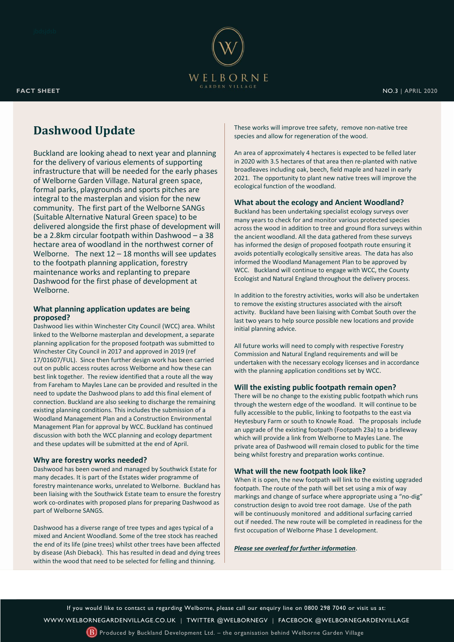

# **Dashwood Update**

Buckland are looking ahead to next year and planning for the delivery of various elements of supporting infrastructure that will be needed for the early phases of Welborne Garden Village. Natural green space, formal parks, playgrounds and sports pitches are integral to the masterplan and vision for the new community. The first part of the Welborne SANGs (Suitable Alternative Natural Green space) to be delivered alongside the first phase of development will be a 2.8km circular footpath within Dashwood – a 38 hectare area of woodland in the northwest corner of Welborne. The next  $12 - 18$  months will see updates to the footpath planning application, forestry maintenance works and replanting to prepare Dashwood for the first phase of development at Welborne.

### **What planning application updates are being proposed?**

Dashwood lies within Winchester City Council (WCC) area. Whilst linked to the Welborne masterplan and development, a separate planning application for the proposed footpath was submitted to Winchester City Council in 2017 and approved in 2019 (ref 17/01607/FUL). Since then further design work has been carried out on public access routes across Welborne and how these can best link together. The review identified that a route all the way from Fareham to Mayles Lane can be provided and resulted in the need to update the Dashwood plans to add this final element of connection. Buckland are also seeking to discharge the remaining existing planning conditions. This includes the submission of a Woodland Management Plan and a Construction Environmental Management Plan for approval by WCC. Buckland has continued discussion with both the WCC planning and ecology department and these updates will be submitted at the end of April.

### **Why are forestry works needed?**

Dashwood has been owned and managed by Southwick Estate for many decades. It is part of the Estates wider programme of forestry maintenance works, unrelated to Welborne. Buckland has been liaising with the Southwick Estate team to ensure the forestry work co-ordinates with proposed plans for preparing Dashwood as part of Welborne SANGS.

Dashwood has a diverse range of tree types and ages typical of a mixed and Ancient Woodland. Some of the tree stock has reached the end of its life (pine trees) whilst other trees have been affected by disease (Ash Dieback). This has resulted in dead and dying trees within the wood that need to be selected for felling and thinning.

These works will improve tree safety, remove non-native tree species and allow for regeneration of the wood.

An area of approximately 4 hectares is expected to be felled later in 2020 with 3.5 hectares of that area then re-planted with native broadleaves including oak, beech, field maple and hazel in early 2021. The opportunity to plant new native trees will improve the ecological function of the woodland.

#### **What about the ecology and Ancient Woodland?**

Buckland has been undertaking specialist ecology surveys over many years to check for and monitor various protected species across the wood in addition to tree and ground flora surveys within the ancient woodland. All the data gathered from these surveys has informed the design of proposed footpath route ensuring it avoids potentially ecologically sensitive areas. The data has also informed the Woodland Management Plan to be approved by WCC. Buckland will continue to engage with WCC, the County Ecologist and Natural England throughout the delivery process.

In addition to the forestry activities, works will also be undertaken to remove the existing structures associated with the airsoft activity. Buckland have been liaising with Combat South over the last two years to help source possible new locations and provide initial planning advice.

All future works will need to comply with respective Forestry Commission and Natural England requirements and will be undertaken with the necessary ecology licenses and in accordance with the planning application conditions set by WCC.

#### **Will the existing public footpath remain open?**

There will be no change to the existing public footpath which runs through the western edge of the woodland. It will continue to be fully accessible to the public, linking to footpaths to the east via Heytesbury Farm or south to Knowle Road. The proposals include an upgrade of the existing footpath (Footpath 23a) to a bridleway which will provide a link from Welborne to Mayles Lane. The private area of Dashwood will remain closed to public for the time being whilst forestry and preparation works continue.

### **What will the new footpath look like?**

When it is open, the new footpath will link to the existing upgraded footpath. The route of the path will bet set using a mix of way markings and change of surface where appropriate using a "no-dig" construction design to avoid tree root damage. Use of the path will be continuously monitored and additional surfacing carried out if needed. The new route will be completed in readiness for the first occupation of Welborne Phase 1 development.

*Please see overleaf for further information*.

If you would like to contact us regarding Welborne, please call our enquiry line on 0800 298 7040 or visit us at: [WWW.WELBORNEGARDENVILLAGE.CO.UK](https://welbornegardenvillage.co.uk/) | [TWITTER @WELBORNEGV](https://twitter.com/WelborneGV) | [FACEBOOK](https://www.facebook.com/WelborneGardenVillage/) @WELBORNEGARDENVILLAGE

 $(B)$  Produced by Buckland Development Ltd. – the organisation behind Welborne Garden Village